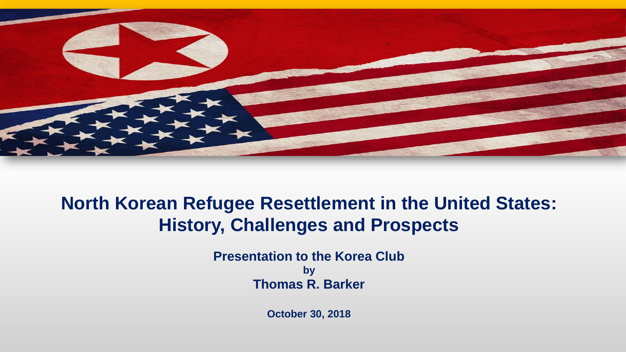

#### **North Korean Refugee Resettlement in the United States: History, Challenges and Prospects**

**Presentation to the Korea Club by Thomas R. Barker**

**October 30, 2018**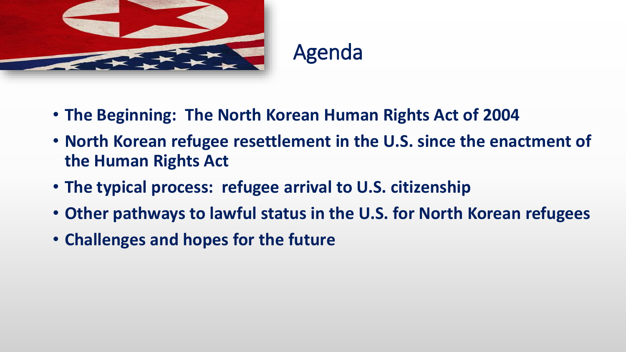

### Agenda

- **The Beginning: The North Korean Human Rights Act of 2004**
- **North Korean refugee resettlement in the U.S. since the enactment of the Human Rights Act**
- **The typical process: refugee arrival to U.S. citizenship**
- **Other pathways to lawful status in the U.S. for North Korean refugees**
- **Challenges and hopes for the future**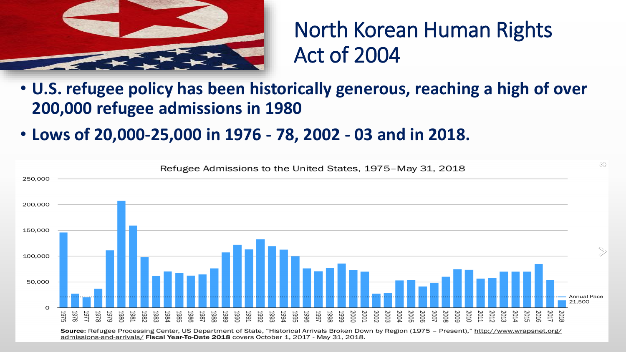

#### North Korean Human Rights Act of 2004

- **U.S. refugee policy has been historically generous, reaching a high of over 200,000 refugee admissions in 1980**
- **Lows of 20,000-25,000 in 1976 - 78, 2002 - 03 and in 2018.**



admissions-and-arrivals/ Fiscal Year-To-Date 2018 covers October 1, 2017 - May 31, 2018.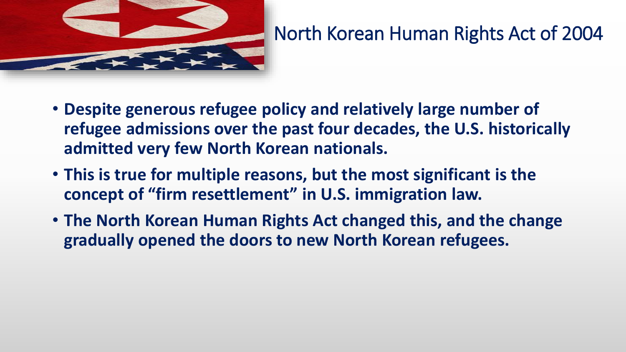

#### North Korean Human Rights Act of 2004

- **Despite generous refugee policy and relatively large number of refugee admissions over the past four decades, the U.S. historically admitted very few North Korean nationals.**
- **This is true for multiple reasons, but the most significant is the concept of "firm resettlement" in U.S. immigration law.**
- **The North Korean Human Rights Act changed this, and the change gradually opened the doors to new North Korean refugees.**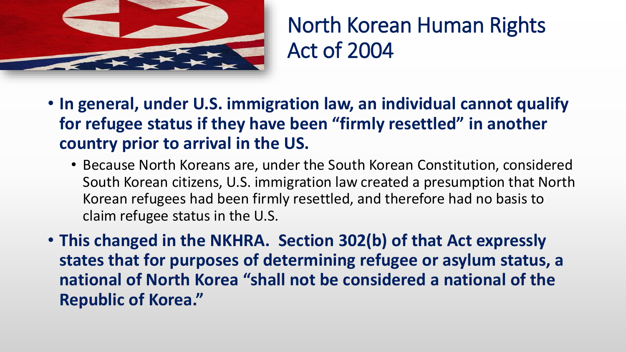

North Korean Human Rights Act of 2004

- **In general, under U.S. immigration law, an individual cannot qualify for refugee status if they have been "firmly resettled" in another country prior to arrival in the US.**
	- Because North Koreans are, under the South Korean Constitution, considered South Korean citizens, U.S. immigration law created a presumption that North Korean refugees had been firmly resettled, and therefore had no basis to claim refugee status in the U.S.
- **This changed in the NKHRA. Section 302(b) of that Act expressly states that for purposes of determining refugee or asylum status, a national of North Korea "shall not be considered a national of the Republic of Korea."**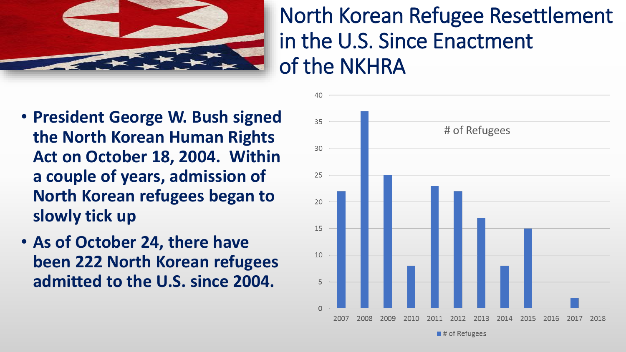

### North Korean Refugee Resettlement in the U.S. Since Enactment of the NKHRA

- **President George W. Bush signed the North Korean Human Rights Act on October 18, 2004. Within a couple of years, admission of North Korean refugees began to slowly tick up**
- **As of October 24, there have been 222 North Korean refugees admitted to the U.S. since 2004.**



 $\blacksquare$ # of Refugees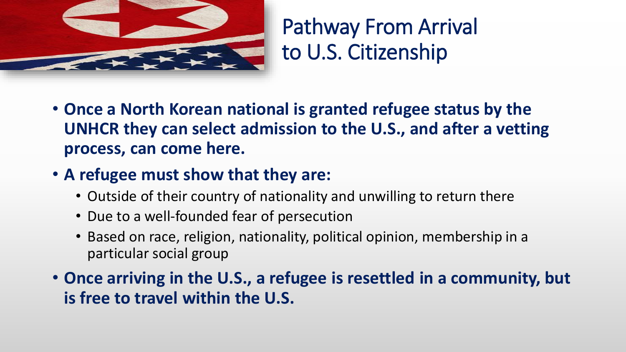

### Pathway From Arrival to U.S. Citizenship

- **Once a North Korean national is granted refugee status by the UNHCR they can select admission to the U.S., and after a vetting process, can come here.**
- **A refugee must show that they are:**
	- Outside of their country of nationality and unwilling to return there
	- Due to a well-founded fear of persecution
	- Based on race, religion, nationality, political opinion, membership in a particular social group

• **Once arriving in the U.S., a refugee is resettled in a community, but is free to travel within the U.S.**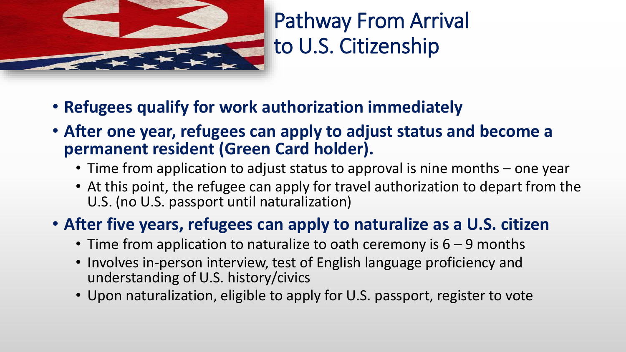

# Pathway From Arrival to U.S. Citizenship

- **Refugees qualify for work authorization immediately**
- **After one year, refugees can apply to adjust status and become a permanent resident (Green Card holder).**
	- Time from application to adjust status to approval is nine months one year
	- At this point, the refugee can apply for travel authorization to depart from the U.S. (no U.S. passport until naturalization)

#### • **After five years, refugees can apply to naturalize as a U.S. citizen**

- Time from application to naturalize to oath ceremony is  $6 9$  months
- Involves in-person interview, test of English language proficiency and understanding of U.S. history/civics
- Upon naturalization, eligible to apply for U.S. passport, register to vote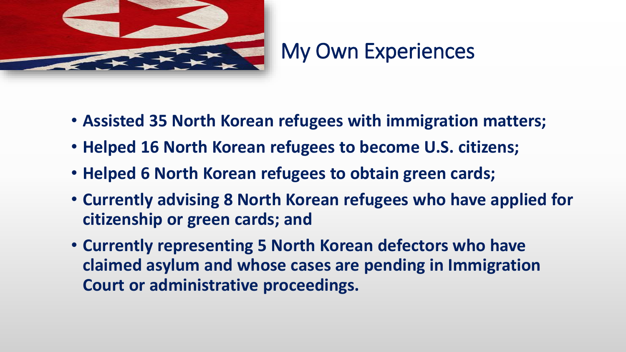

#### My Own Experiences

- **Assisted 35 North Korean refugees with immigration matters;**
- **Helped 16 North Korean refugees to become U.S. citizens;**
- **Helped 6 North Korean refugees to obtain green cards;**
- **Currently advising 8 North Korean refugees who have applied for citizenship or green cards; and**
- **Currently representing 5 North Korean defectors who have claimed asylum and whose cases are pending in Immigration Court or administrative proceedings.**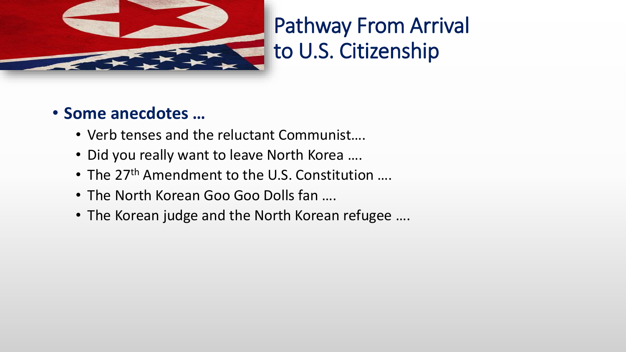

# Pathway From Arrival to U.S. Citizenship

#### • **Some anecdotes …**

- Verb tenses and the reluctant Communist….
- Did you really want to leave North Korea ….
- The 27<sup>th</sup> Amendment to the U.S. Constitution ....
- The North Korean Goo Goo Dolls fan ….
- The Korean judge and the North Korean refugee ….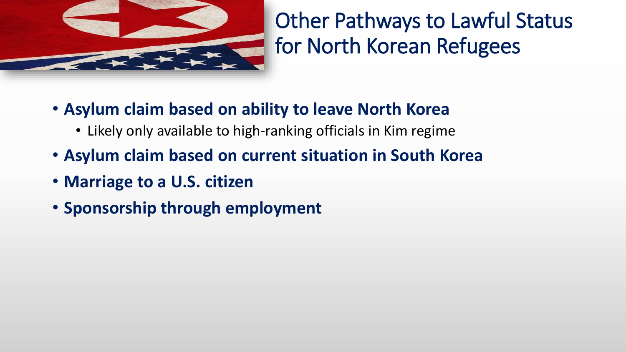

# Other Pathways to Lawful Status for North Korean Refugees

- **Asylum claim based on ability to leave North Korea**
	- Likely only available to high-ranking officials in Kim regime
- **Asylum claim based on current situation in South Korea**
- **Marriage to a U.S. citizen**
- **Sponsorship through employment**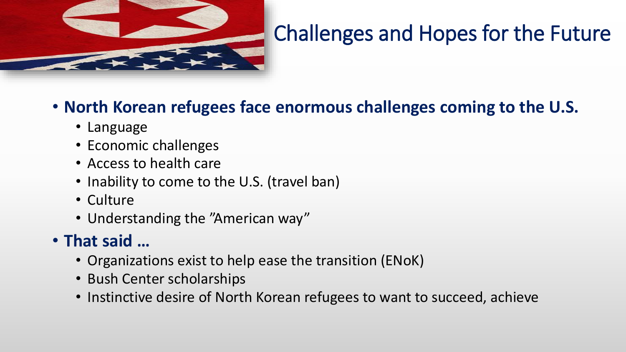

## Challenges and Hopes for the Future

#### • **North Korean refugees face enormous challenges coming to the U.S.**

- Language
- Economic challenges
- Access to health care
- Inability to come to the U.S. (travel ban)
- Culture
- Understanding the "American way"

#### • **That said …**

- Organizations exist to help ease the transition (ENoK)
- Bush Center scholarships
- Instinctive desire of North Korean refugees to want to succeed, achieve